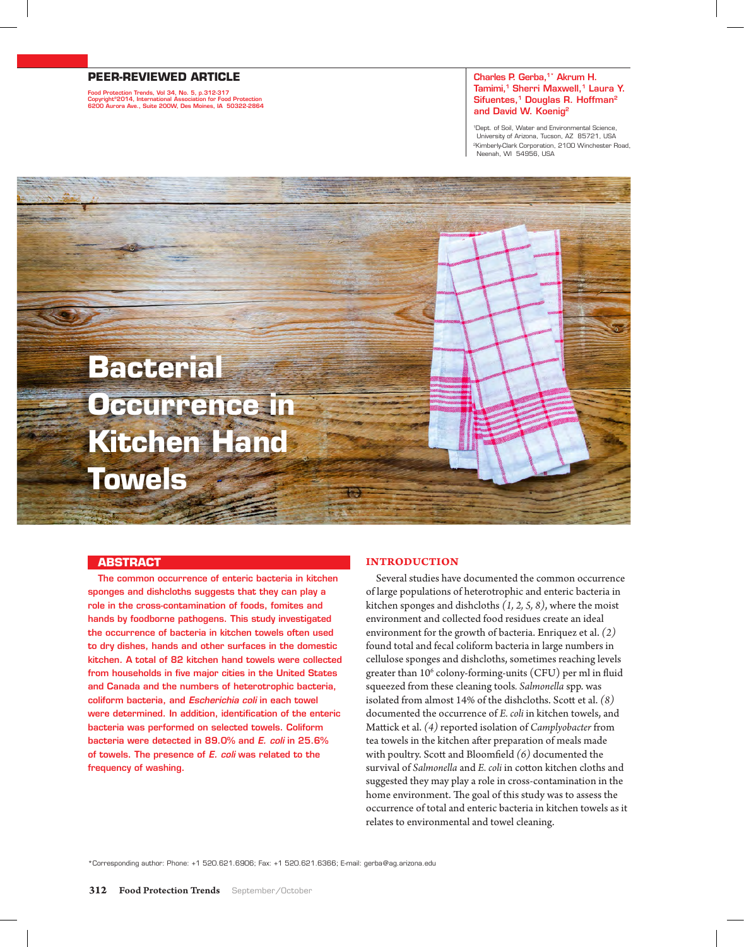## **PEER-REVIEWED ARTICLE**

Food Protection Trends, Vol 34, No. 5, p.312-317 Copyright©2014, International Association for Food Protection 6200 Aurora Ave., Suite 200W, Des Moines, IA 50322-2864

#### Charles P. Gerba.<sup>1\*</sup> Akrum H. Tamimi,<sup>1</sup> Sherri Maxwell,<sup>1</sup> Laura Y. Sifuentes,<sup>1</sup> Douglas R. Hoffman<sup>2</sup> and David W. Koenig2

1Dept. of Soil, Water and Environmental Science, University of Arizona, Tucson, AZ 85721, USA 2Kimberly-Clark Corporation, 2100 Winchester Road, Neenah, WI 54956, USA

# **Bacterial Occurrence in Kitchen Hand Towels**

#### **ABSTRACT**

The common occurrence of enteric bacteria in kitchen sponges and dishcloths suggests that they can play a role in the cross-contamination of foods, fomites and hands by foodborne pathogens. This study investigated the occurrence of bacteria in kitchen towels often used to dry dishes, hands and other surfaces in the domestic kitchen. A total of 82 kitchen hand towels were collected from households in five major cities in the United States and Canada and the numbers of heterotrophic bacteria, coliform bacteria, and *Escherichia coli* in each towel were determined. In addition, identification of the enteric bacteria was performed on selected towels. Coliform bacteria were detected in 89.0% and *E. coli* in 25.6% of towels. The presence of *E. coli* was related to the frequency of washing.

### **Introduction**

Several studies have documented the common occurrence of large populations of heterotrophic and enteric bacteria in kitchen sponges and dishcloths *(1, 2, 5, 8)*, where the moist environment and collected food residues create an ideal environment for the growth of bacteria. Enriquez et al. *(2)* found total and fecal coliform bacteria in large numbers in cellulose sponges and dishcloths, sometimes reaching levels greater than 10<sup>6</sup> colony-forming-units (CFU) per ml in fluid squeezed from these cleaning tools*. Salmonella* spp. was isolated from almost 14% of the dishcloths. Scott et al. *(8)* documented the occurrence of *E. coli* in kitchen towels, and Mattick et al. *(4)* reported isolation of *Camplyobacter* from tea towels in the kitchen after preparation of meals made with poultry. Scott and Bloomfield *(6)* documented the survival of *Salmonella* and *E. coli* in cotton kitchen cloths and suggested they may play a role in cross-contamination in the home environment. The goal of this study was to assess the occurrence of total and enteric bacteria in kitchen towels as it relates to environmental and towel cleaning.

\*Corresponding author: Phone: +1 520.621.6906; Fax: +1 520.621.6366; E-mail: gerba@ag.arizona.edu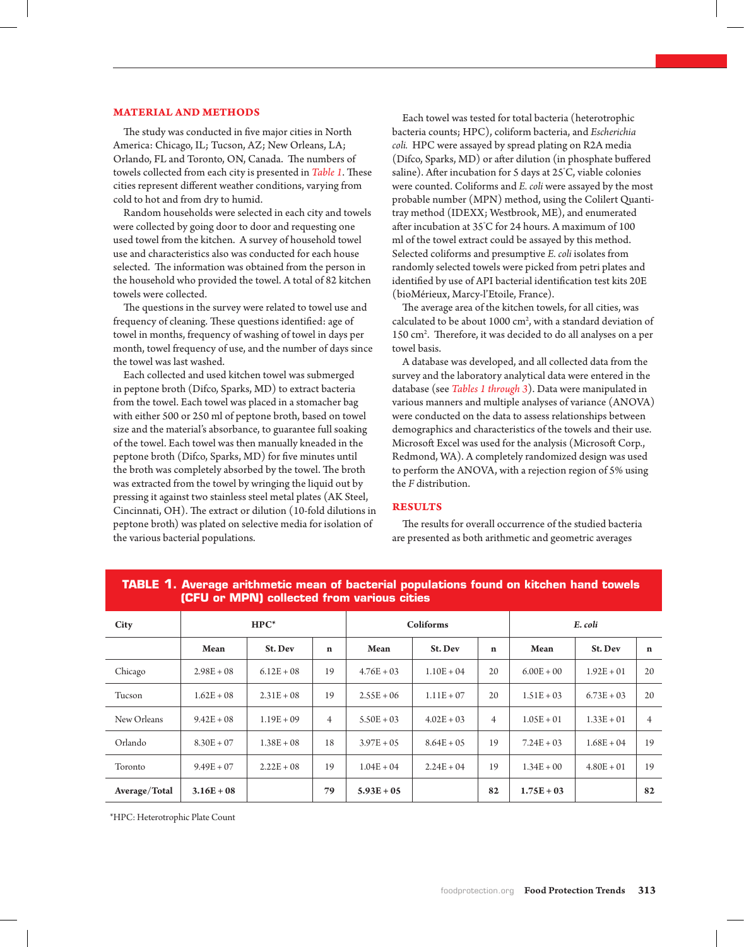#### **Material and Methods**

The study was conducted in five major cities in North America: Chicago, IL; Tucson, AZ; New Orleans, LA; Orlando, FL and Toronto, ON, Canada. The numbers of towels collected from each city is presented in *Table 1*. These cities represent different weather conditions, varying from cold to hot and from dry to humid.

Random households were selected in each city and towels were collected by going door to door and requesting one used towel from the kitchen. A survey of household towel use and characteristics also was conducted for each house selected. The information was obtained from the person in the household who provided the towel. A total of 82 kitchen towels were collected.

The questions in the survey were related to towel use and frequency of cleaning. These questions identified: age of towel in months, frequency of washing of towel in days per month, towel frequency of use, and the number of days since the towel was last washed.

Each collected and used kitchen towel was submerged in peptone broth (Difco, Sparks, MD) to extract bacteria from the towel. Each towel was placed in a stomacher bag with either 500 or 250 ml of peptone broth, based on towel size and the material's absorbance, to guarantee full soaking of the towel. Each towel was then manually kneaded in the peptone broth (Difco, Sparks, MD) for five minutes until the broth was completely absorbed by the towel. The broth was extracted from the towel by wringing the liquid out by pressing it against two stainless steel metal plates (AK Steel, Cincinnati, OH). The extract or dilution (10-fold dilutions in peptone broth) was plated on selective media for isolation of the various bacterial populations.

Each towel was tested for total bacteria (heterotrophic bacteria counts; HPC), coliform bacteria, and *Escherichia coli.* HPC were assayed by spread plating on R2A media (Difco, Sparks, MD) or after dilution (in phosphate buffered saline). After incubation for 5 days at 25° C, viable colonies were counted. Coliforms and *E. coli* were assayed by the most probable number (MPN) method, using the Colilert Quantitray method (IDEXX; Westbrook, ME), and enumerated after incubation at 35° C for 24 hours. A maximum of 100 ml of the towel extract could be assayed by this method. Selected coliforms and presumptive *E. coli* isolates from randomly selected towels were picked from petri plates and identified by use of API bacterial identification test kits 20E (bioMérieux, Marcy-l'Etoile, France).

The average area of the kitchen towels, for all cities, was calculated to be about  $1000 \text{ cm}^2$ , with a standard deviation of 150 cm2 . Therefore, it was decided to do all analyses on a per towel basis.

A database was developed, and all collected data from the survey and the laboratory analytical data were entered in the database (see *Tables 1 through 3*). Data were manipulated in various manners and multiple analyses of variance (ANOVA) were conducted on the data to assess relationships between demographics and characteristics of the towels and their use. Microsoft Excel was used for the analysis (Microsoft Corp., Redmond, WA). A completely randomized design was used to perform the ANOVA, with a rejection region of 5% using the *F* distribution.

### **Results**

The results for overall occurrence of the studied bacteria are presented as both arithmetic and geometric averages

| LOI O UI INIFINI CONCOCCO II UNII VALIONS CIUCS |              |              |                |               |               |                |              |              |             |
|-------------------------------------------------|--------------|--------------|----------------|---------------|---------------|----------------|--------------|--------------|-------------|
| City                                            | $HPC^*$      |              |                | Coliforms     |               |                | E. coli      |              |             |
|                                                 | Mean         | St. Dev      | $\mathbf n$    | Mean          | St. Dev       | $\mathbf n$    | Mean         | St. Dev      | $\mathbf n$ |
| Chicago                                         | $2.98E + 08$ | $6.12E + 08$ | 19             | $4.76E + 03$  | $1.10E + 04$  | 20             | $6.00E + 00$ | $1.92E + 01$ | 20          |
| Tucson                                          | $1.62E + 08$ | $2.31E + 08$ | 19             | $2.55E + 06$  | $1.11E + 07$  | 20             | $1.51E + 03$ | $6.73E + 03$ | 20          |
| New Orleans                                     | $9.42E + 08$ | $1.19E + 09$ | $\overline{4}$ | $5.50E + 03$  | $4.02E + 03$  | $\overline{4}$ | $1.05E + 01$ | $1.33E + 01$ | 4           |
| Orlando                                         | $8.30E + 07$ | $1.38E + 08$ | 18             | $3.97E + 0.5$ | $8.64E + 0.5$ | 19             | $7.24E + 03$ | $1.68E + 04$ | 19          |
| Toronto                                         | $9.49E + 07$ | $2.22E + 08$ | 19             | $1.04E + 04$  | $2.24E + 04$  | 19             | $1.34E + 00$ | $4.80E + 01$ | 19          |
| Average/Total                                   | $3.16E + 08$ |              | 79             | $5.93E + 05$  |               | 82             | $1.75E + 03$ |              | 82          |

# **TABLE 1. Average arithmetic mean of bacterial populations found on kitchen hand towels (CFU or MPN) collected from various cities**

\*HPC: Heterotrophic Plate Count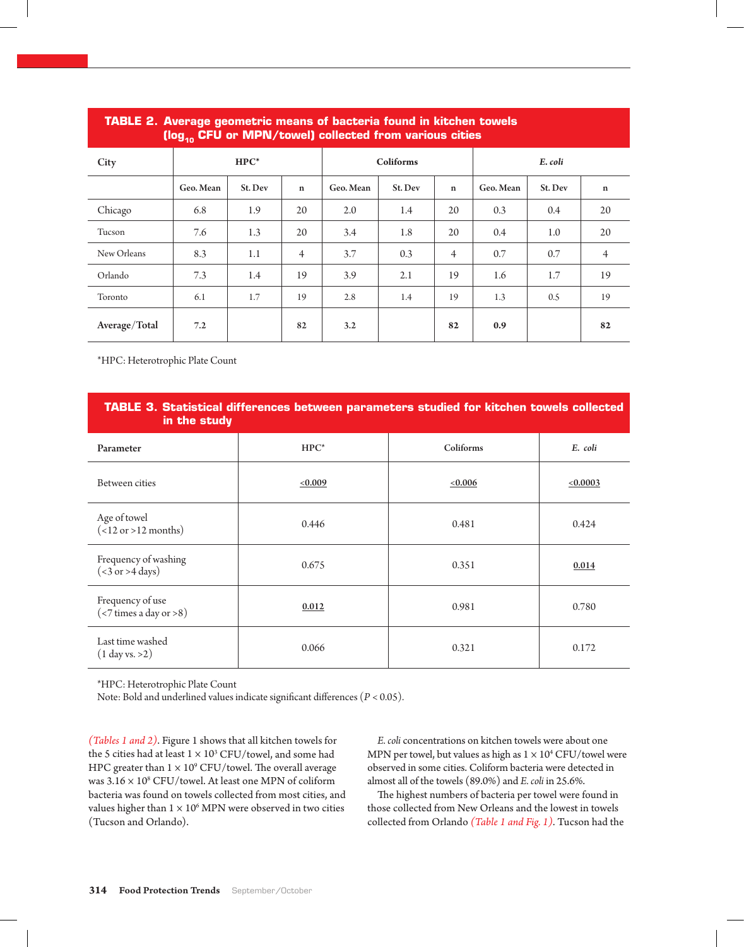| tiog <sub>40</sub> CFO or iviPN/cowel) collected from various cities |           |         |                |           |           |                |           |         |                |
|----------------------------------------------------------------------|-----------|---------|----------------|-----------|-----------|----------------|-----------|---------|----------------|
| City                                                                 |           | $HPC^*$ |                |           | Coliforms |                |           |         |                |
|                                                                      | Geo. Mean | St. Dev | $\mathbf n$    | Geo. Mean | St. Dev   | $\mathbf n$    | Geo. Mean | St. Dev | $\mathbf n$    |
| Chicago                                                              | 6.8       | 1.9     | 20             | 2.0       | 1.4       | 20             | 0.3       | 0.4     | 20             |
| Tucson                                                               | 7.6       | 1.3     | 20             | 3.4       | 1.8       | 20             | 0.4       | 1.0     | 20             |
| New Orleans                                                          | 8.3       | 1.1     | $\overline{4}$ | 3.7       | 0.3       | $\overline{4}$ | 0.7       | 0.7     | $\overline{4}$ |
| Orlando                                                              | 7.3       | 1.4     | 19             | 3.9       | 2.1       | 19             | 1.6       | 1.7     | 19             |
| Toronto                                                              | 6.1       | 1.7     | 19             | 2.8       | 1.4       | 19             | 1.3       | 0.5     | 19             |
| Average/Total                                                        | 7.2       |         | 82             | 3.2       |           | 82             | 0.9       |         | 82             |

# **Table 2. Average geometric means of bacteria found in kitchen towels (log10 CFU or MPN/towel) collected from various cities**

\*HPC: Heterotrophic Plate Count

| <b>TABLE 3. Statistical differences between parameters studied for kitchen towels collected</b><br>in the study |         |           |               |  |  |  |  |
|-----------------------------------------------------------------------------------------------------------------|---------|-----------|---------------|--|--|--|--|
| Parameter                                                                                                       | $HPC^*$ | Coliforms | E. coli       |  |  |  |  |
| Between cities                                                                                                  | <0.009  | <0.006    | $\leq 0.0003$ |  |  |  |  |
| Age of towel<br>$($ <12 or >12 months)                                                                          | 0.446   | 0.481     | 0.424         |  |  |  |  |
| Frequency of washing<br>$(3 \text{ or } > 4 \text{ days})$                                                      | 0.675   | 0.351     | 0.014         |  |  |  |  |
| Frequency of use<br>$(< 7$ times a day or >8)                                                                   | 0.012   | 0.981     | 0.780         |  |  |  |  |
| Last time washed<br>$(1$ day vs. >2)                                                                            | 0.066   | 0.321     | 0.172         |  |  |  |  |

\*HPC: Heterotrophic Plate Count

Note: Bold and underlined values indicate significant differences (*P* < 0.05).

*(Tables 1 and 2)*. Figure 1 shows that all kitchen towels for the 5 cities had at least  $1 \times 10^3$  CFU/towel, and some had HPC greater than  $1 \times 10^9$  CFU/towel. The overall average was  $3.16 \times 10^8$  CFU/towel. At least one MPN of coliform bacteria was found on towels collected from most cities, and values higher than  $1 \times 10^6$  MPN were observed in two cities (Tucson and Orlando).

*E. coli* concentrations on kitchen towels were about one MPN per towel, but values as high as  $1 \times 10^4$  CFU/towel were observed in some cities. Coliform bacteria were detected in almost all of the towels (89.0%) and *E. coli* in 25.6%.

The highest numbers of bacteria per towel were found in those collected from New Orleans and the lowest in towels collected from Orlando *(Table 1 and Fig. 1)*. Tucson had the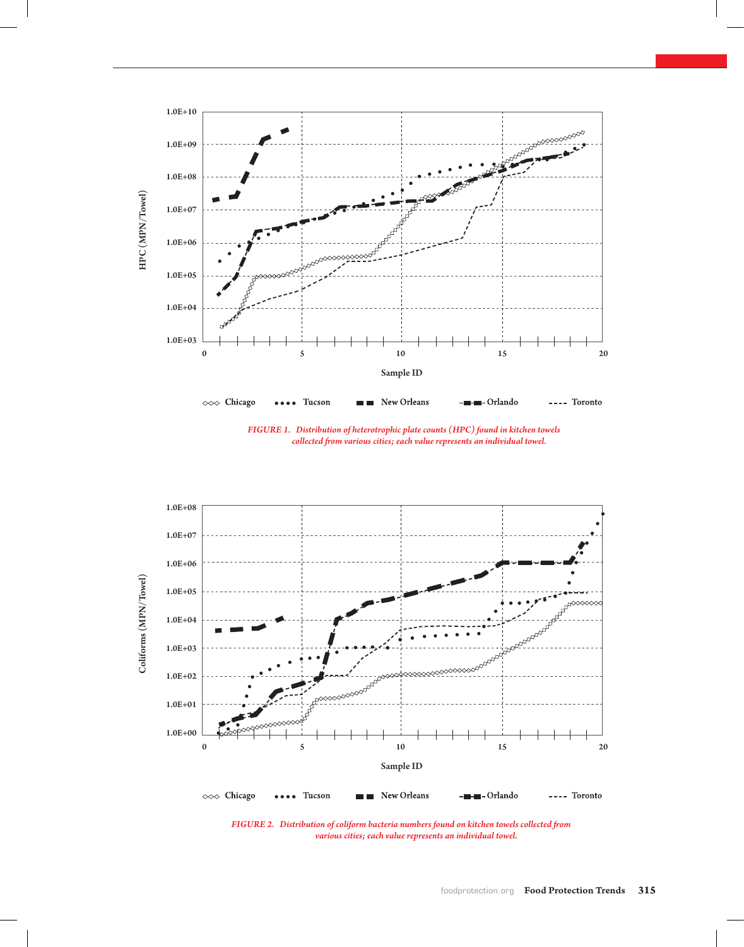

*Figure 1. Distribution of heterotrophic plate counts (HPC) found in kitchen towels collected from various cities; each value represents an individual towel.*



*Figure 2. Distribution of coliform bacteria numbers found on kitchen towels collected from various cities; each value represents an individual towel.*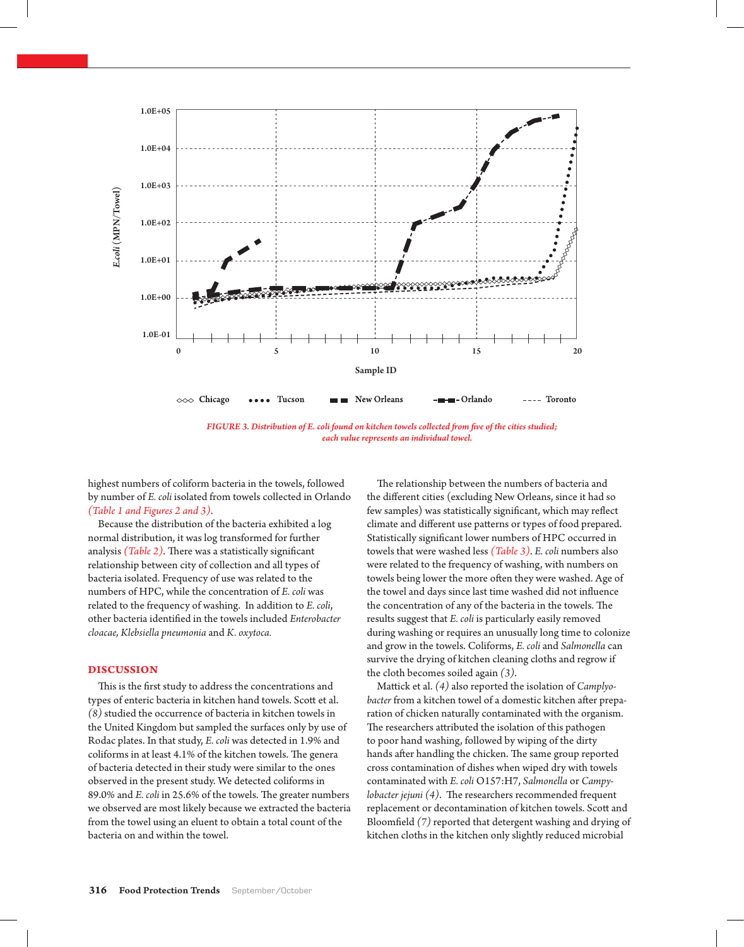

*Figure 3. Distribution of E. coli found on kitchen towels collected from five of the cities studied; each value represents an individual towel.* 

highest numbers of coliform bacteria in the towels, followed by number of *E. coli* isolated from towels collected in Orlando *(Table 1 and Figures 2 and 3)*.

Because the distribution of the bacteria exhibited a log normal distribution, it was log transformed for further analysis *(Table 2)*. There was a statistically significant relationship between city of collection and all types of bacteria isolated. Frequency of use was related to the numbers of HPC, while the concentration of *E. coli* was related to the frequency of washing. In addition to *E. coli*, other bacteria identified in the towels included *Enterobacter cloacae, Klebsiella pneumonia* and *K. oxytoca.*

### **Discussion**

This is the first study to address the concentrations and types of enteric bacteria in kitchen hand towels. Scott et al. *(8)* studied the occurrence of bacteria in kitchen towels in the United Kingdom but sampled the surfaces only by use of Rodac plates. In that study, *E. coli* was detected in 1.9% and coliforms in at least 4.1% of the kitchen towels. The genera of bacteria detected in their study were similar to the ones observed in the present study. We detected coliforms in 89.0% and *E. coli* in 25.6% of the towels. The greater numbers we observed are most likely because we extracted the bacteria from the towel using an eluent to obtain a total count of the bacteria on and within the towel.

The relationship between the numbers of bacteria and the different cities (excluding New Orleans, since it had so few samples) was statistically significant, which may reflect climate and different use patterns or types of food prepared. Statistically significant lower numbers of HPC occurred in towels that were washed less *(Table 3)*. *E. coli* numbers also were related to the frequency of washing, with numbers on towels being lower the more often they were washed. Age of the towel and days since last time washed did not influence the concentration of any of the bacteria in the towels. The results suggest that *E. coli* is particularly easily removed during washing or requires an unusually long time to colonize and grow in the towels. Coliforms, *E. coli* and *Salmonella* can survive the drying of kitchen cleaning cloths and regrow if the cloth becomes soiled again *(3)*.

Mattick et al. *(4)* also reported the isolation of *Camplyobacter* from a kitchen towel of a domestic kitchen after preparation of chicken naturally contaminated with the organism. The researchers attributed the isolation of this pathogen to poor hand washing, followed by wiping of the dirty hands after handling the chicken. The same group reported cross contamination of dishes when wiped dry with towels contaminated with *E. coli* O157:H7, *Salmonella* or *Campylobacter jejuni (4)*. The researchers recommended frequent replacement or decontamination of kitchen towels. Scott and Bloomfield *(7)* reported that detergent washing and drying of kitchen cloths in the kitchen only slightly reduced microbial